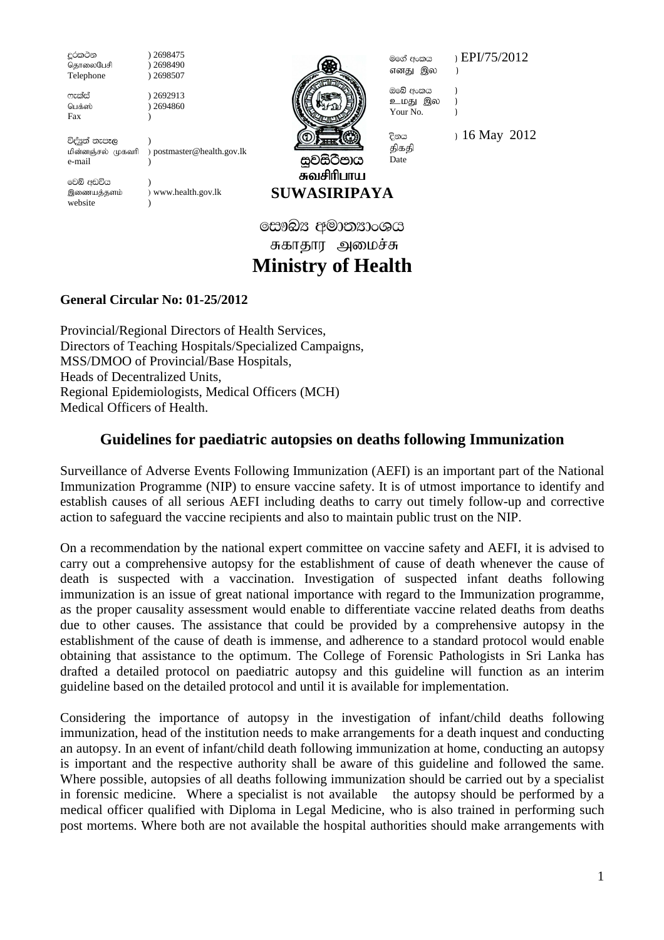<u>ද</u>ුරකථන ) 2698475<br>@தாலைபேசி ) 2698490 தொலைபேசி Telephone ) 2698507

 $m$ r $\tilde{e}$  ) 2692913 பெக்ஸ் ) 2694860 Fax and the set of  $\sim$ 

විද්පුත් තැපෑල<br>மின்னஞ்சல் முகவரி ) postmaster@health.gov.lk e-mail )

වෙබ් අඩවිය ) இணையத்தளம் ) www.health.gov.lk website



எனது இல )

ඔබේ අංකය ) உமது இல ) Your No. (a)

මගේ අංකය ) $EPI/75/2012$ 

திகதி

සවසිටීපාය சுவசிரிபாய **SUWASIRIPAYA**  Date

 $\frac{20}{3}$  16 May 2012

සෞඛ $x$  අමාතනාංශය சுகாதார அமைச்சு **Ministry of Health** 

## **General Circular No: 01-25/2012**

Provincial/Regional Directors of Health Services, Directors of Teaching Hospitals/Specialized Campaigns, MSS/DMOO of Provincial/Base Hospitals, Heads of Decentralized Units, Regional Epidemiologists, Medical Officers (MCH) Medical Officers of Health.

# **Guidelines for paediatric autopsies on deaths following Immunization**

Surveillance of Adverse Events Following Immunization (AEFI) is an important part of the National Immunization Programme (NIP) to ensure vaccine safety. It is of utmost importance to identify and establish causes of all serious AEFI including deaths to carry out timely follow-up and corrective action to safeguard the vaccine recipients and also to maintain public trust on the NIP.

On a recommendation by the national expert committee on vaccine safety and AEFI, it is advised to carry out a comprehensive autopsy for the establishment of cause of death whenever the cause of death is suspected with a vaccination. Investigation of suspected infant deaths following immunization is an issue of great national importance with regard to the Immunization programme, as the proper causality assessment would enable to differentiate vaccine related deaths from deaths due to other causes. The assistance that could be provided by a comprehensive autopsy in the establishment of the cause of death is immense, and adherence to a standard protocol would enable obtaining that assistance to the optimum. The College of Forensic Pathologists in Sri Lanka has drafted a detailed protocol on paediatric autopsy and this guideline will function as an interim guideline based on the detailed protocol and until it is available for implementation.

Considering the importance of autopsy in the investigation of infant/child deaths following immunization, head of the institution needs to make arrangements for a death inquest and conducting an autopsy. In an event of infant/child death following immunization at home, conducting an autopsy is important and the respective authority shall be aware of this guideline and followed the same. Where possible, autopsies of all deaths following immunization should be carried out by a specialist in forensic medicine. Where a specialist is not available the autopsy should be performed by a medical officer qualified with Diploma in Legal Medicine, who is also trained in performing such post mortems. Where both are not available the hospital authorities should make arrangements with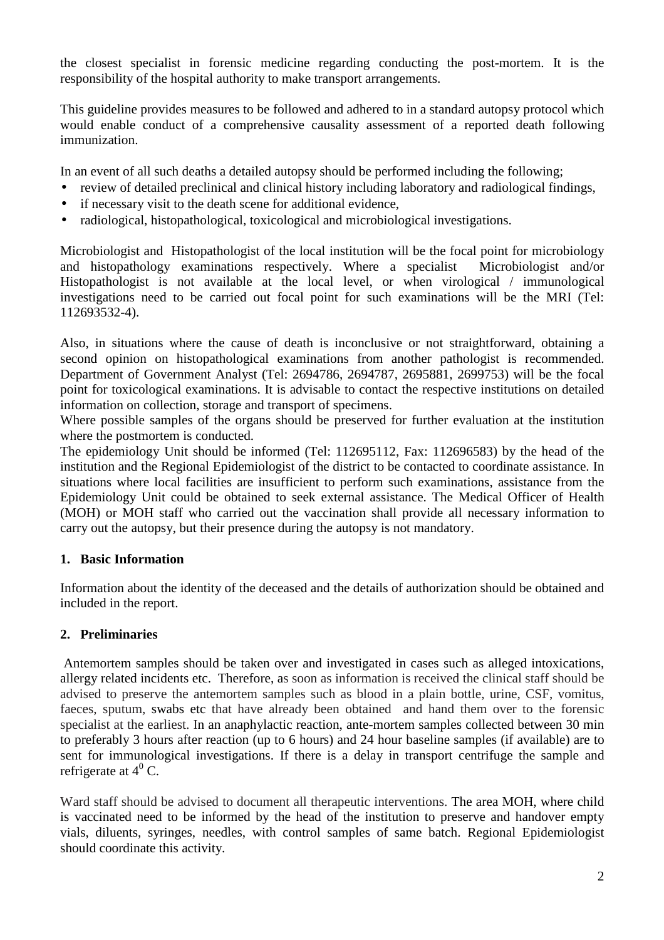the closest specialist in forensic medicine regarding conducting the post-mortem. It is the responsibility of the hospital authority to make transport arrangements.

This guideline provides measures to be followed and adhered to in a standard autopsy protocol which would enable conduct of a comprehensive causality assessment of a reported death following immunization.

In an event of all such deaths a detailed autopsy should be performed including the following;

- review of detailed preclinical and clinical history including laboratory and radiological findings,
- if necessary visit to the death scene for additional evidence,
- radiological, histopathological, toxicological and microbiological investigations.

Microbiologist and Histopathologist of the local institution will be the focal point for microbiology and histopathology examinations respectively. Where a specialist Microbiologist and/or Histopathologist is not available at the local level, or when virological / immunological investigations need to be carried out focal point for such examinations will be the MRI (Tel: 112693532-4).

Also, in situations where the cause of death is inconclusive or not straightforward, obtaining a second opinion on histopathological examinations from another pathologist is recommended. Department of Government Analyst (Tel: 2694786, 2694787, 2695881, 2699753) will be the focal point for toxicological examinations. It is advisable to contact the respective institutions on detailed information on collection, storage and transport of specimens.

Where possible samples of the organs should be preserved for further evaluation at the institution where the postmortem is conducted.

The epidemiology Unit should be informed (Tel: 112695112, Fax: 112696583) by the head of the institution and the Regional Epidemiologist of the district to be contacted to coordinate assistance. In situations where local facilities are insufficient to perform such examinations, assistance from the Epidemiology Unit could be obtained to seek external assistance. The Medical Officer of Health (MOH) or MOH staff who carried out the vaccination shall provide all necessary information to carry out the autopsy, but their presence during the autopsy is not mandatory.

#### **1. Basic Information**

Information about the identity of the deceased and the details of authorization should be obtained and included in the report.

#### **2. Preliminaries**

 Antemortem samples should be taken over and investigated in cases such as alleged intoxications, allergy related incidents etc. Therefore, as soon as information is received the clinical staff should be advised to preserve the antemortem samples such as blood in a plain bottle, urine, CSF, vomitus, faeces, sputum, swabs etc that have already been obtained and hand them over to the forensic specialist at the earliest. In an anaphylactic reaction, ante-mortem samples collected between 30 min to preferably 3 hours after reaction (up to 6 hours) and 24 hour baseline samples (if available) are to sent for immunological investigations. If there is a delay in transport centrifuge the sample and refrigerate at  $4^0$  C.

Ward staff should be advised to document all therapeutic interventions. The area MOH, where child is vaccinated need to be informed by the head of the institution to preserve and handover empty vials, diluents, syringes, needles, with control samples of same batch. Regional Epidemiologist should coordinate this activity.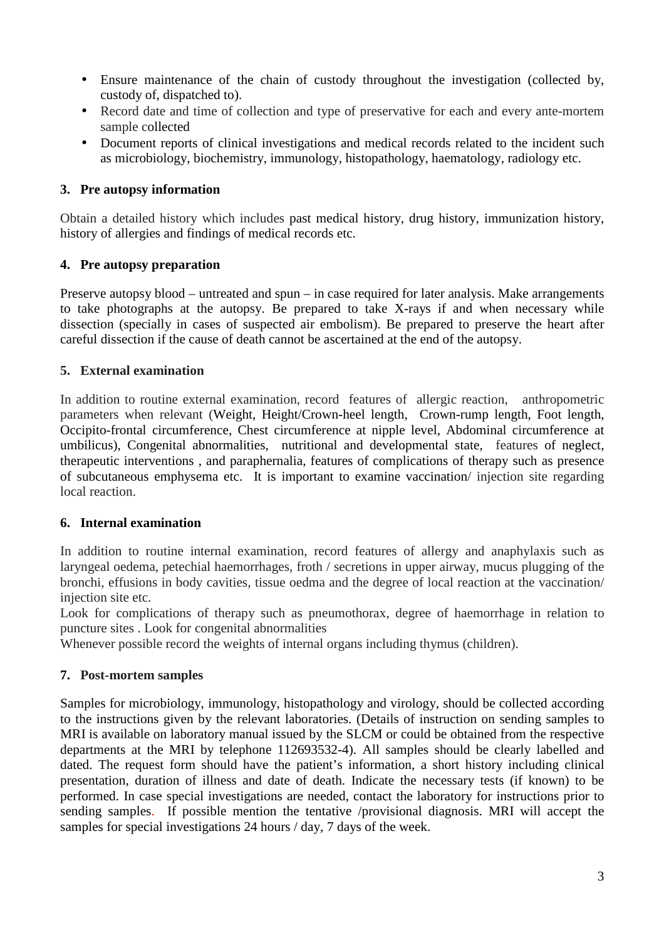- Ensure maintenance of the chain of custody throughout the investigation (collected by, custody of, dispatched to).
- Record date and time of collection and type of preservative for each and every ante-mortem sample collected
- Document reports of clinical investigations and medical records related to the incident such as microbiology, biochemistry, immunology, histopathology, haematology, radiology etc.

#### **3. Pre autopsy information**

Obtain a detailed history which includes past medical history, drug history, immunization history, history of allergies and findings of medical records etc.

#### **4. Pre autopsy preparation**

Preserve autopsy blood – untreated and spun – in case required for later analysis. Make arrangements to take photographs at the autopsy. Be prepared to take X-rays if and when necessary while dissection (specially in cases of suspected air embolism). Be prepared to preserve the heart after careful dissection if the cause of death cannot be ascertained at the end of the autopsy.

#### **5. External examination**

In addition to routine external examination, record features of allergic reaction, anthropometric parameters when relevant (Weight, Height/Crown-heel length, Crown-rump length, Foot length, Occipito-frontal circumference, Chest circumference at nipple level, Abdominal circumference at umbilicus), Congenital abnormalities, nutritional and developmental state, features of neglect, therapeutic interventions , and paraphernalia, features of complications of therapy such as presence of subcutaneous emphysema etc. It is important to examine vaccination/ injection site regarding local reaction.

#### **6. Internal examination**

In addition to routine internal examination, record features of allergy and anaphylaxis such as laryngeal oedema, petechial haemorrhages, froth / secretions in upper airway, mucus plugging of the bronchi, effusions in body cavities, tissue oedma and the degree of local reaction at the vaccination/ injection site etc.

Look for complications of therapy such as pneumothorax, degree of haemorrhage in relation to puncture sites . Look for congenital abnormalities

Whenever possible record the weights of internal organs including thymus (children).

#### **7. Post-mortem samples**

Samples for microbiology, immunology, histopathology and virology, should be collected according to the instructions given by the relevant laboratories. (Details of instruction on sending samples to MRI is available on laboratory manual issued by the SLCM or could be obtained from the respective departments at the MRI by telephone 112693532-4). All samples should be clearly labelled and dated. The request form should have the patient's information, a short history including clinical presentation, duration of illness and date of death. Indicate the necessary tests (if known) to be performed. In case special investigations are needed, contact the laboratory for instructions prior to sending samples. If possible mention the tentative /provisional diagnosis. MRI will accept the samples for special investigations 24 hours / day, 7 days of the week.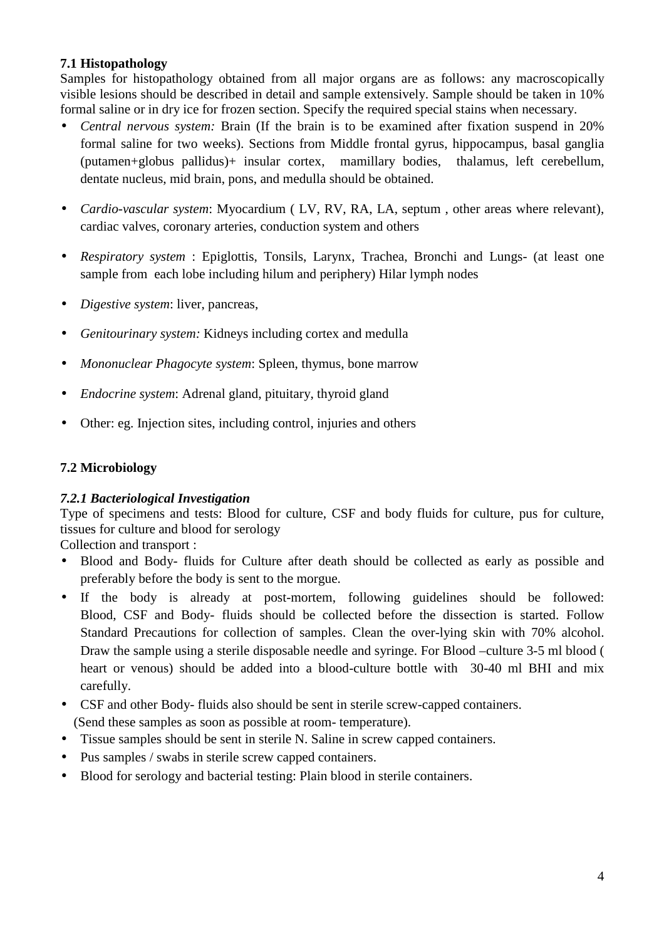#### **7.1 Histopathology**

Samples for histopathology obtained from all major organs are as follows: any macroscopically visible lesions should be described in detail and sample extensively. Sample should be taken in 10% formal saline or in dry ice for frozen section. Specify the required special stains when necessary.

- *Central nervous system:* Brain (If the brain is to be examined after fixation suspend in 20% formal saline for two weeks). Sections from Middle frontal gyrus, hippocampus, basal ganglia (putamen+globus pallidus)+ insular cortex, mamillary bodies, thalamus, left cerebellum, dentate nucleus, mid brain, pons, and medulla should be obtained.
- *Cardio-vascular system*: Myocardium ( LV, RV, RA, LA, septum , other areas where relevant), cardiac valves, coronary arteries, conduction system and others
- *Respiratory system* : Epiglottis, Tonsils, Larynx, Trachea, Bronchi and Lungs- (at least one sample from each lobe including hilum and periphery) Hilar lymph nodes
- *Digestive system*: liver, pancreas,
- *Genitourinary system:* Kidneys including cortex and medulla
- *Mononuclear Phagocyte system*: Spleen, thymus, bone marrow
- *Endocrine system*: Adrenal gland, pituitary, thyroid gland
- Other: eg. Injection sites, including control, injuries and others

## **7.2 Microbiology**

### *7.2.1 Bacteriological Investigation*

Type of specimens and tests: Blood for culture, CSF and body fluids for culture, pus for culture, tissues for culture and blood for serology

Collection and transport :

- Blood and Body- fluids for Culture after death should be collected as early as possible and preferably before the body is sent to the morgue.
- If the body is already at post-mortem, following guidelines should be followed: Blood, CSF and Body- fluids should be collected before the dissection is started. Follow Standard Precautions for collection of samples. Clean the over-lying skin with 70% alcohol. Draw the sample using a sterile disposable needle and syringe. For Blood –culture 3-5 ml blood ( heart or venous) should be added into a blood-culture bottle with 30-40 ml BHI and mix carefully.
- CSF and other Body- fluids also should be sent in sterile screw-capped containers.
- (Send these samples as soon as possible at room- temperature).
- Tissue samples should be sent in sterile N. Saline in screw capped containers.
- Pus samples / swabs in sterile screw capped containers.
- Blood for serology and bacterial testing: Plain blood in sterile containers.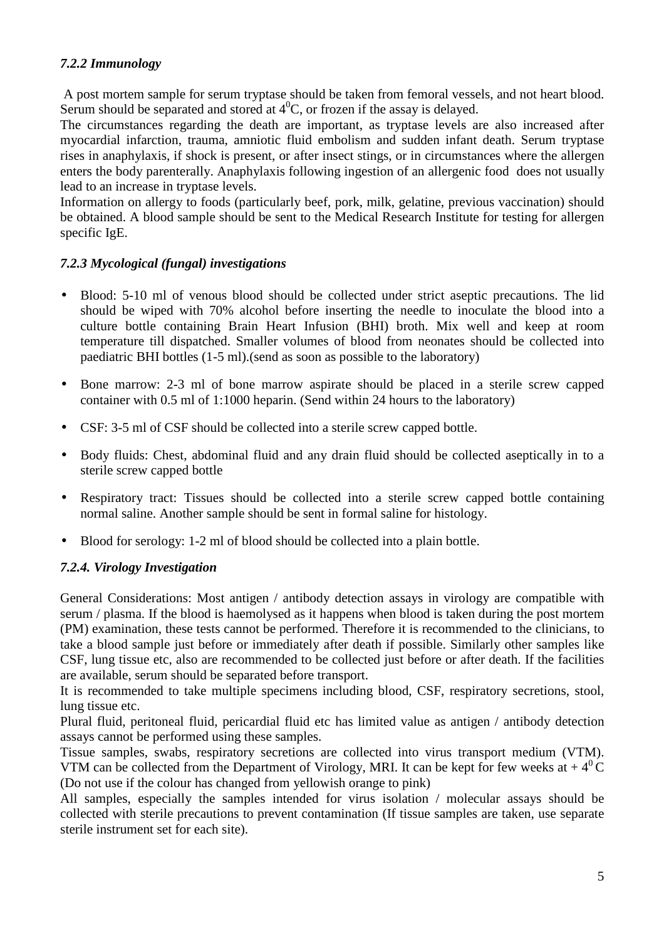#### *7.2.2 Immunology*

 A post mortem sample for serum tryptase should be taken from femoral vessels, and not heart blood. Serum should be separated and stored at  $4^{\circ}C$ , or frozen if the assay is delayed.

The circumstances regarding the death are important, as tryptase levels are also increased after myocardial infarction, trauma, amniotic fluid embolism and sudden infant death. Serum tryptase rises in anaphylaxis, if shock is present, or after insect stings, or in circumstances where the allergen enters the body parenterally. Anaphylaxis following ingestion of an allergenic food does not usually lead to an increase in tryptase levels.

Information on allergy to foods (particularly beef, pork, milk, gelatine, previous vaccination) should be obtained. A blood sample should be sent to the Medical Research Institute for testing for allergen specific IgE.

#### *7.2.3 Mycological (fungal) investigations*

- Blood: 5-10 ml of venous blood should be collected under strict aseptic precautions. The lid should be wiped with 70% alcohol before inserting the needle to inoculate the blood into a culture bottle containing Brain Heart Infusion (BHI) broth. Mix well and keep at room temperature till dispatched. Smaller volumes of blood from neonates should be collected into paediatric BHI bottles (1-5 ml).(send as soon as possible to the laboratory)
- Bone marrow: 2-3 ml of bone marrow aspirate should be placed in a sterile screw capped container with 0.5 ml of 1:1000 heparin. (Send within 24 hours to the laboratory)
- CSF: 3-5 ml of CSF should be collected into a sterile screw capped bottle.
- Body fluids: Chest, abdominal fluid and any drain fluid should be collected aseptically in to a sterile screw capped bottle
- Respiratory tract: Tissues should be collected into a sterile screw capped bottle containing normal saline. Another sample should be sent in formal saline for histology.
- Blood for serology: 1-2 ml of blood should be collected into a plain bottle.

#### *7.2.4. Virology Investigation*

General Considerations: Most antigen / antibody detection assays in virology are compatible with serum / plasma. If the blood is haemolysed as it happens when blood is taken during the post mortem (PM) examination, these tests cannot be performed. Therefore it is recommended to the clinicians, to take a blood sample just before or immediately after death if possible. Similarly other samples like CSF, lung tissue etc, also are recommended to be collected just before or after death. If the facilities are available, serum should be separated before transport.

It is recommended to take multiple specimens including blood, CSF, respiratory secretions, stool, lung tissue etc.

Plural fluid, peritoneal fluid, pericardial fluid etc has limited value as antigen / antibody detection assays cannot be performed using these samples.

Tissue samples, swabs, respiratory secretions are collected into virus transport medium (VTM). VTM can be collected from the Department of Virology, MRI. It can be kept for few weeks at  $+4^{0}C$ (Do not use if the colour has changed from yellowish orange to pink)

All samples, especially the samples intended for virus isolation / molecular assays should be collected with sterile precautions to prevent contamination (If tissue samples are taken, use separate sterile instrument set for each site).